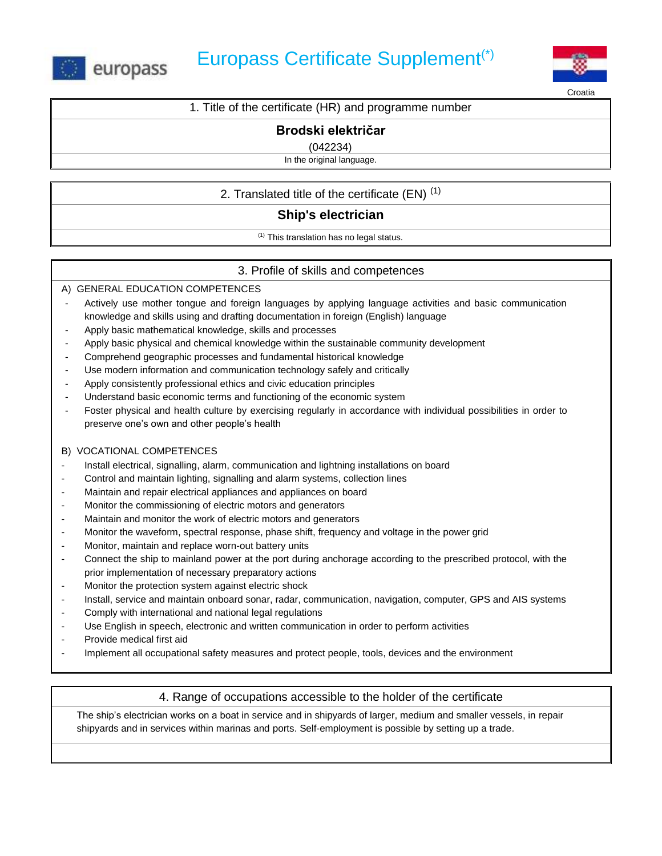



**Croatia** 

1. Title of the certificate (HR) and programme number

# **Brodski električar**

(042234)

In the original language.

2. Translated title of the certificate  $(EN)^{(1)}$ 

## **Ship's electrician**

(1) This translation has no legal status.

## 3. Profile of skills and competences

A) GENERAL EDUCATION COMPETENCES

- Actively use mother tongue and foreign languages by applying language activities and basic communication knowledge and skills using and drafting documentation in foreign (English) language
- Apply basic mathematical knowledge, skills and processes
- Apply basic physical and chemical knowledge within the sustainable community development
- Comprehend geographic processes and fundamental historical knowledge
- Use modern information and communication technology safely and critically
- Apply consistently professional ethics and civic education principles
- Understand basic economic terms and functioning of the economic system
- Foster physical and health culture by exercising regularly in accordance with individual possibilities in order to preserve one's own and other people's health

### B) VOCATIONAL COMPETENCES

- Install electrical, signalling, alarm, communication and lightning installations on board
- Control and maintain lighting, signalling and alarm systems, collection lines
- Maintain and repair electrical appliances and appliances on board
- Monitor the commissioning of electric motors and generators
- Maintain and monitor the work of electric motors and generators
- Monitor the waveform, spectral response, phase shift, frequency and voltage in the power grid
- Monitor, maintain and replace worn-out battery units
- Connect the ship to mainland power at the port during anchorage according to the prescribed protocol, with the prior implementation of necessary preparatory actions
- Monitor the protection system against electric shock
- Install, service and maintain onboard sonar, radar, communication, navigation, computer, GPS and AIS systems
- Comply with international and national legal regulations
- Use English in speech, electronic and written communication in order to perform activities
- Provide medical first aid
- Implement all occupational safety measures and protect people, tools, devices and the environment

## 4. Range of occupations accessible to the holder of the certificate

The ship's electrician works on a boat in service and in shipyards of larger, medium and smaller vessels, in repair shipyards and in services within marinas and ports. Self-employment is possible by setting up a trade.